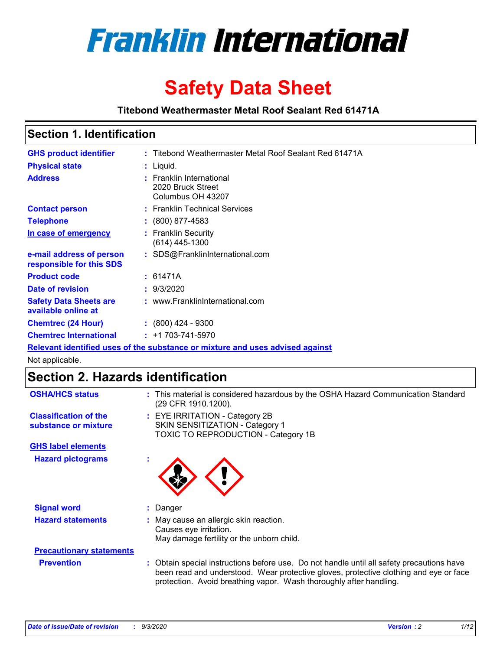

# **Safety Data Sheet**

**Titebond Weathermaster Metal Roof Sealant Red 61471A**

### **Section 1. Identification**

| <b>GHS product identifier</b>                                                 |  | : Titebond Weathermaster Metal Roof Sealant Red 61471A             |  |  |
|-------------------------------------------------------------------------------|--|--------------------------------------------------------------------|--|--|
| <b>Physical state</b>                                                         |  | : Liquid.                                                          |  |  |
| <b>Address</b>                                                                |  | : Franklin International<br>2020 Bruck Street<br>Columbus OH 43207 |  |  |
| <b>Contact person</b>                                                         |  | : Franklin Technical Services                                      |  |  |
| <b>Telephone</b>                                                              |  | $\div$ (800) 877-4583                                              |  |  |
| In case of emergency                                                          |  | : Franklin Security<br>$(614)$ 445-1300                            |  |  |
| e-mail address of person<br>responsible for this SDS                          |  | : SDS@FranklinInternational.com                                    |  |  |
| <b>Product code</b>                                                           |  | : 61471A                                                           |  |  |
| Date of revision                                                              |  | : 9/3/2020                                                         |  |  |
| <b>Safety Data Sheets are</b><br>available online at                          |  | : www.FranklinInternational.com                                    |  |  |
| <b>Chemtrec (24 Hour)</b>                                                     |  | $: (800)$ 424 - 9300                                               |  |  |
| <b>Chemtrec International</b>                                                 |  | $: +1703 - 741 - 5970$                                             |  |  |
| Relevant identified uses of the substance or mixture and uses advised against |  |                                                                    |  |  |

Not applicable.

## **Section 2. Hazards identification**

| <b>OSHA/HCS status</b>                               |    | : This material is considered hazardous by the OSHA Hazard Communication Standard<br>(29 CFR 1910.1200).                                                                                                                                                 |  |  |  |
|------------------------------------------------------|----|----------------------------------------------------------------------------------------------------------------------------------------------------------------------------------------------------------------------------------------------------------|--|--|--|
| <b>Classification of the</b><br>substance or mixture |    | : EYE IRRITATION - Category 2B<br>SKIN SENSITIZATION - Category 1<br>TOXIC TO REPRODUCTION - Category 1B                                                                                                                                                 |  |  |  |
| <b>GHS label elements</b>                            |    |                                                                                                                                                                                                                                                          |  |  |  |
| <b>Hazard pictograms</b>                             | ×. |                                                                                                                                                                                                                                                          |  |  |  |
| <b>Signal word</b>                                   | ÷. | Danger                                                                                                                                                                                                                                                   |  |  |  |
| <b>Hazard statements</b>                             |    | May cause an allergic skin reaction.<br>Causes eye irritation.<br>May damage fertility or the unborn child.                                                                                                                                              |  |  |  |
| <b>Precautionary statements</b>                      |    |                                                                                                                                                                                                                                                          |  |  |  |
| <b>Prevention</b>                                    |    | : Obtain special instructions before use. Do not handle until all safety precautions have<br>been read and understood. Wear protective gloves, protective clothing and eye or face<br>protection. Avoid breathing vapor. Wash thoroughly after handling. |  |  |  |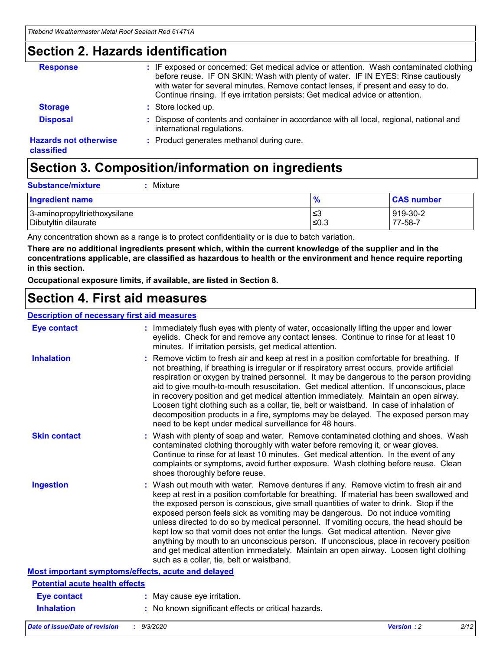### **Section 2. Hazards identification**

| <b>Response</b>                            | : IF exposed or concerned: Get medical advice or attention. Wash contaminated clothing<br>before reuse. IF ON SKIN: Wash with plenty of water. IF IN EYES: Rinse cautiously<br>with water for several minutes. Remove contact lenses, if present and easy to do.<br>Continue rinsing. If eye irritation persists: Get medical advice or attention. |
|--------------------------------------------|----------------------------------------------------------------------------------------------------------------------------------------------------------------------------------------------------------------------------------------------------------------------------------------------------------------------------------------------------|
| <b>Storage</b>                             | : Store locked up.                                                                                                                                                                                                                                                                                                                                 |
| <b>Disposal</b>                            | : Dispose of contents and container in accordance with all local, regional, national and<br>international regulations.                                                                                                                                                                                                                             |
| <b>Hazards not otherwise</b><br>classified | : Product generates methanol during cure.                                                                                                                                                                                                                                                                                                          |

# **Section 3. Composition/information on ingredients**

| <b>Substance/mixture</b> | : Mixture |
|--------------------------|-----------|
|                          |           |

| <b>Ingredient name</b>       | $\mathbf{0}$<br>70 | <b>CAS number</b> |
|------------------------------|--------------------|-------------------|
| 3-aminopropyltriethoxysilane | צ≥                 | 919-30-2          |
| Dibutyltin dilaurate         | ∣≤0.3              | 77-58-7           |

Any concentration shown as a range is to protect confidentiality or is due to batch variation.

**There are no additional ingredients present which, within the current knowledge of the supplier and in the concentrations applicable, are classified as hazardous to health or the environment and hence require reporting in this section.**

**Occupational exposure limits, if available, are listed in Section 8.**

### **Section 4. First aid measures**

| <b>Description of necessary first aid measures</b> |                                                                                                                                                                                                                                                                                                                                                                                                                                                                                                                                                                                                                                                                                                                                                                           |
|----------------------------------------------------|---------------------------------------------------------------------------------------------------------------------------------------------------------------------------------------------------------------------------------------------------------------------------------------------------------------------------------------------------------------------------------------------------------------------------------------------------------------------------------------------------------------------------------------------------------------------------------------------------------------------------------------------------------------------------------------------------------------------------------------------------------------------------|
| <b>Eye contact</b>                                 | : Immediately flush eyes with plenty of water, occasionally lifting the upper and lower<br>eyelids. Check for and remove any contact lenses. Continue to rinse for at least 10<br>minutes. If irritation persists, get medical attention.                                                                                                                                                                                                                                                                                                                                                                                                                                                                                                                                 |
| <b>Inhalation</b>                                  | : Remove victim to fresh air and keep at rest in a position comfortable for breathing. If<br>not breathing, if breathing is irregular or if respiratory arrest occurs, provide artificial<br>respiration or oxygen by trained personnel. It may be dangerous to the person providing<br>aid to give mouth-to-mouth resuscitation. Get medical attention. If unconscious, place<br>in recovery position and get medical attention immediately. Maintain an open airway.<br>Loosen tight clothing such as a collar, tie, belt or waistband. In case of inhalation of<br>decomposition products in a fire, symptoms may be delayed. The exposed person may<br>need to be kept under medical surveillance for 48 hours.                                                       |
| <b>Skin contact</b>                                | : Wash with plenty of soap and water. Remove contaminated clothing and shoes. Wash<br>contaminated clothing thoroughly with water before removing it, or wear gloves.<br>Continue to rinse for at least 10 minutes. Get medical attention. In the event of any<br>complaints or symptoms, avoid further exposure. Wash clothing before reuse. Clean<br>shoes thoroughly before reuse.                                                                                                                                                                                                                                                                                                                                                                                     |
| <b>Ingestion</b>                                   | : Wash out mouth with water. Remove dentures if any. Remove victim to fresh air and<br>keep at rest in a position comfortable for breathing. If material has been swallowed and<br>the exposed person is conscious, give small quantities of water to drink. Stop if the<br>exposed person feels sick as vomiting may be dangerous. Do not induce vomiting<br>unless directed to do so by medical personnel. If vomiting occurs, the head should be<br>kept low so that vomit does not enter the lungs. Get medical attention. Never give<br>anything by mouth to an unconscious person. If unconscious, place in recovery position<br>and get medical attention immediately. Maintain an open airway. Loosen tight clothing<br>such as a collar, tie, belt or waistband. |
| Most important symptoms/effects, acute and delayed |                                                                                                                                                                                                                                                                                                                                                                                                                                                                                                                                                                                                                                                                                                                                                                           |
| <b>Potential acute health effects</b>              |                                                                                                                                                                                                                                                                                                                                                                                                                                                                                                                                                                                                                                                                                                                                                                           |
| <b>Eye contact</b>                                 | : May cause eye irritation.                                                                                                                                                                                                                                                                                                                                                                                                                                                                                                                                                                                                                                                                                                                                               |
| <b>Inhalation</b>                                  | : No known significant effects or critical hazards.                                                                                                                                                                                                                                                                                                                                                                                                                                                                                                                                                                                                                                                                                                                       |
|                                                    |                                                                                                                                                                                                                                                                                                                                                                                                                                                                                                                                                                                                                                                                                                                                                                           |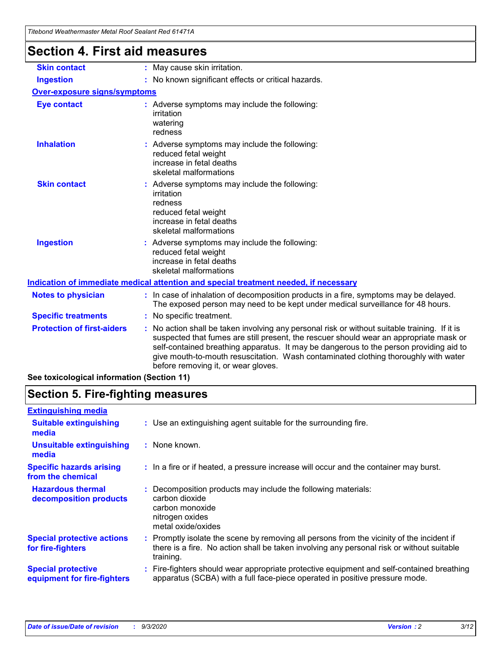| Titebond Weathermaster Metal Roof Sealant Red 61471A |                                                                                                                                                                                                                                                                                                                                                                                                               |  |  |  |
|------------------------------------------------------|---------------------------------------------------------------------------------------------------------------------------------------------------------------------------------------------------------------------------------------------------------------------------------------------------------------------------------------------------------------------------------------------------------------|--|--|--|
| <b>Section 4. First aid measures</b>                 |                                                                                                                                                                                                                                                                                                                                                                                                               |  |  |  |
| <b>Skin contact</b>                                  | : May cause skin irritation.                                                                                                                                                                                                                                                                                                                                                                                  |  |  |  |
| <b>Ingestion</b>                                     | : No known significant effects or critical hazards.                                                                                                                                                                                                                                                                                                                                                           |  |  |  |
| <b>Over-exposure signs/symptoms</b>                  |                                                                                                                                                                                                                                                                                                                                                                                                               |  |  |  |
| <b>Eye contact</b>                                   | : Adverse symptoms may include the following:<br>irritation<br>watering<br>redness                                                                                                                                                                                                                                                                                                                            |  |  |  |
| <b>Inhalation</b>                                    | : Adverse symptoms may include the following:<br>reduced fetal weight<br>increase in fetal deaths<br>skeletal malformations                                                                                                                                                                                                                                                                                   |  |  |  |
| <b>Skin contact</b>                                  | : Adverse symptoms may include the following:<br>irritation<br>redness<br>reduced fetal weight<br>increase in fetal deaths<br>skeletal malformations                                                                                                                                                                                                                                                          |  |  |  |
| <b>Ingestion</b>                                     | Adverse symptoms may include the following:<br>reduced fetal weight<br>increase in fetal deaths<br>skeletal malformations                                                                                                                                                                                                                                                                                     |  |  |  |
|                                                      | Indication of immediate medical attention and special treatment needed, if necessary                                                                                                                                                                                                                                                                                                                          |  |  |  |
| <b>Notes to physician</b>                            | : In case of inhalation of decomposition products in a fire, symptoms may be delayed.<br>The exposed person may need to be kept under medical surveillance for 48 hours.                                                                                                                                                                                                                                      |  |  |  |
| <b>Specific treatments</b>                           | : No specific treatment.                                                                                                                                                                                                                                                                                                                                                                                      |  |  |  |
| <b>Protection of first-aiders</b>                    | No action shall be taken involving any personal risk or without suitable training. If it is<br>suspected that fumes are still present, the rescuer should wear an appropriate mask or<br>self-contained breathing apparatus. It may be dangerous to the person providing aid to<br>give mouth-to-mouth resuscitation. Wash contaminated clothing thoroughly with water<br>before removing it, or wear gloves. |  |  |  |
| See toxicological information (Section 11)           |                                                                                                                                                                                                                                                                                                                                                                                                               |  |  |  |

# **Section 5. Fire-fighting measures**

| : Use an extinguishing agent suitable for the surrounding fire.                                                                                                                                   |
|---------------------------------------------------------------------------------------------------------------------------------------------------------------------------------------------------|
| : None known.                                                                                                                                                                                     |
| : In a fire or if heated, a pressure increase will occur and the container may burst.                                                                                                             |
| Decomposition products may include the following materials:<br>carbon dioxide<br>carbon monoxide<br>nitrogen oxides<br>metal oxide/oxides                                                         |
| Promptly isolate the scene by removing all persons from the vicinity of the incident if<br>there is a fire. No action shall be taken involving any personal risk or without suitable<br>training. |
| Fire-fighters should wear appropriate protective equipment and self-contained breathing<br>apparatus (SCBA) with a full face-piece operated in positive pressure mode.                            |
|                                                                                                                                                                                                   |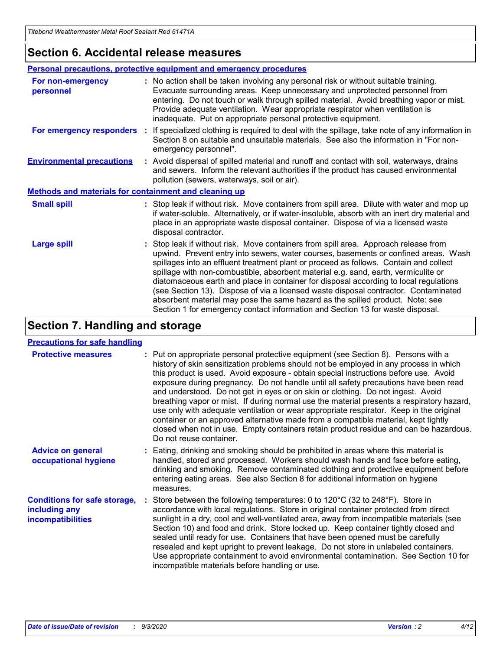### **Section 6. Accidental release measures**

|                                                              | Personal precautions, protective equipment and emergency procedures                                                                                                                                                                                                                                                                                                                                                                                                                                                                                                                                                                                                                                          |  |  |  |  |
|--------------------------------------------------------------|--------------------------------------------------------------------------------------------------------------------------------------------------------------------------------------------------------------------------------------------------------------------------------------------------------------------------------------------------------------------------------------------------------------------------------------------------------------------------------------------------------------------------------------------------------------------------------------------------------------------------------------------------------------------------------------------------------------|--|--|--|--|
| For non-emergency<br>personnel                               | : No action shall be taken involving any personal risk or without suitable training.<br>Evacuate surrounding areas. Keep unnecessary and unprotected personnel from<br>entering. Do not touch or walk through spilled material. Avoid breathing vapor or mist.<br>Provide adequate ventilation. Wear appropriate respirator when ventilation is<br>inadequate. Put on appropriate personal protective equipment.                                                                                                                                                                                                                                                                                             |  |  |  |  |
| For emergency responders                                     | : If specialized clothing is required to deal with the spillage, take note of any information in<br>Section 8 on suitable and unsuitable materials. See also the information in "For non-<br>emergency personnel".                                                                                                                                                                                                                                                                                                                                                                                                                                                                                           |  |  |  |  |
| <b>Environmental precautions</b>                             | : Avoid dispersal of spilled material and runoff and contact with soil, waterways, drains<br>and sewers. Inform the relevant authorities if the product has caused environmental<br>pollution (sewers, waterways, soil or air).                                                                                                                                                                                                                                                                                                                                                                                                                                                                              |  |  |  |  |
| <b>Methods and materials for containment and cleaning up</b> |                                                                                                                                                                                                                                                                                                                                                                                                                                                                                                                                                                                                                                                                                                              |  |  |  |  |
| <b>Small spill</b>                                           | : Stop leak if without risk. Move containers from spill area. Dilute with water and mop up<br>if water-soluble. Alternatively, or if water-insoluble, absorb with an inert dry material and<br>place in an appropriate waste disposal container. Dispose of via a licensed waste<br>disposal contractor.                                                                                                                                                                                                                                                                                                                                                                                                     |  |  |  |  |
| <b>Large spill</b>                                           | : Stop leak if without risk. Move containers from spill area. Approach release from<br>upwind. Prevent entry into sewers, water courses, basements or confined areas. Wash<br>spillages into an effluent treatment plant or proceed as follows. Contain and collect<br>spillage with non-combustible, absorbent material e.g. sand, earth, vermiculite or<br>diatomaceous earth and place in container for disposal according to local regulations<br>(see Section 13). Dispose of via a licensed waste disposal contractor. Contaminated<br>absorbent material may pose the same hazard as the spilled product. Note: see<br>Section 1 for emergency contact information and Section 13 for waste disposal. |  |  |  |  |

### **Section 7. Handling and storage**

#### **Precautions for safe handling**

| <b>Protective measures</b>                                                       | : Put on appropriate personal protective equipment (see Section 8). Persons with a<br>history of skin sensitization problems should not be employed in any process in which<br>this product is used. Avoid exposure - obtain special instructions before use. Avoid<br>exposure during pregnancy. Do not handle until all safety precautions have been read<br>and understood. Do not get in eyes or on skin or clothing. Do not ingest. Avoid<br>breathing vapor or mist. If during normal use the material presents a respiratory hazard,<br>use only with adequate ventilation or wear appropriate respirator. Keep in the original<br>container or an approved alternative made from a compatible material, kept tightly<br>closed when not in use. Empty containers retain product residue and can be hazardous.<br>Do not reuse container. |  |
|----------------------------------------------------------------------------------|--------------------------------------------------------------------------------------------------------------------------------------------------------------------------------------------------------------------------------------------------------------------------------------------------------------------------------------------------------------------------------------------------------------------------------------------------------------------------------------------------------------------------------------------------------------------------------------------------------------------------------------------------------------------------------------------------------------------------------------------------------------------------------------------------------------------------------------------------|--|
| <b>Advice on general</b><br>occupational hygiene                                 | : Eating, drinking and smoking should be prohibited in areas where this material is<br>handled, stored and processed. Workers should wash hands and face before eating,<br>drinking and smoking. Remove contaminated clothing and protective equipment before<br>entering eating areas. See also Section 8 for additional information on hygiene<br>measures.                                                                                                                                                                                                                                                                                                                                                                                                                                                                                    |  |
| <b>Conditions for safe storage,</b><br>including any<br><i>incompatibilities</i> | Store between the following temperatures: 0 to 120°C (32 to 248°F). Store in<br>accordance with local regulations. Store in original container protected from direct<br>sunlight in a dry, cool and well-ventilated area, away from incompatible materials (see<br>Section 10) and food and drink. Store locked up. Keep container tightly closed and<br>sealed until ready for use. Containers that have been opened must be carefully<br>resealed and kept upright to prevent leakage. Do not store in unlabeled containers.<br>Use appropriate containment to avoid environmental contamination. See Section 10 for<br>incompatible materials before handling or use.                                                                                                                                                                         |  |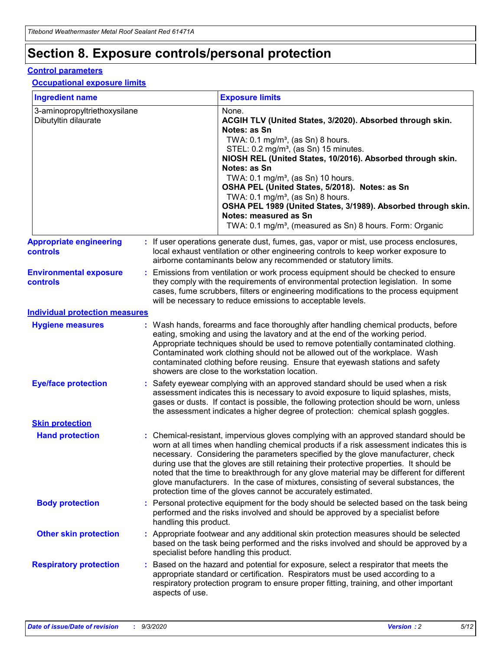# **Section 8. Exposure controls/personal protection**

#### **Control parameters**

#### **Occupational exposure limits**

| <b>Ingredient name</b>                               |    |                        | <b>Exposure limits</b>                                                                                                                                                                                                                                                                                                                                                                                                                                                                                                                                                                                                 |
|------------------------------------------------------|----|------------------------|------------------------------------------------------------------------------------------------------------------------------------------------------------------------------------------------------------------------------------------------------------------------------------------------------------------------------------------------------------------------------------------------------------------------------------------------------------------------------------------------------------------------------------------------------------------------------------------------------------------------|
| 3-aminopropyltriethoxysilane<br>Dibutyltin dilaurate |    |                        | None.<br>ACGIH TLV (United States, 3/2020). Absorbed through skin.<br>Notes: as Sn<br>TWA: 0.1 mg/m <sup>3</sup> , (as Sn) 8 hours.<br>STEL: 0.2 mg/m <sup>3</sup> , (as Sn) 15 minutes.<br>NIOSH REL (United States, 10/2016). Absorbed through skin.<br>Notes: as Sn<br>TWA: 0.1 mg/m <sup>3</sup> , (as Sn) 10 hours.<br>OSHA PEL (United States, 5/2018). Notes: as Sn<br>TWA: $0.1 \text{ mg/m}^3$ , (as Sn) 8 hours.<br>OSHA PEL 1989 (United States, 3/1989). Absorbed through skin.<br>Notes: measured as Sn<br>TWA: 0.1 mg/m <sup>3</sup> , (measured as Sn) 8 hours. Form: Organic                           |
| <b>Appropriate engineering</b><br>controls           |    |                        | : If user operations generate dust, fumes, gas, vapor or mist, use process enclosures,<br>local exhaust ventilation or other engineering controls to keep worker exposure to<br>airborne contaminants below any recommended or statutory limits.                                                                                                                                                                                                                                                                                                                                                                       |
| <b>Environmental exposure</b><br>controls            |    |                        | Emissions from ventilation or work process equipment should be checked to ensure<br>they comply with the requirements of environmental protection legislation. In some<br>cases, fume scrubbers, filters or engineering modifications to the process equipment<br>will be necessary to reduce emissions to acceptable levels.                                                                                                                                                                                                                                                                                          |
| <b>Individual protection measures</b>                |    |                        |                                                                                                                                                                                                                                                                                                                                                                                                                                                                                                                                                                                                                        |
| <b>Hygiene measures</b>                              |    |                        | : Wash hands, forearms and face thoroughly after handling chemical products, before<br>eating, smoking and using the lavatory and at the end of the working period.<br>Appropriate techniques should be used to remove potentially contaminated clothing.<br>Contaminated work clothing should not be allowed out of the workplace. Wash<br>contaminated clothing before reusing. Ensure that eyewash stations and safety<br>showers are close to the workstation location.                                                                                                                                            |
| <b>Eye/face protection</b>                           |    |                        | Safety eyewear complying with an approved standard should be used when a risk<br>assessment indicates this is necessary to avoid exposure to liquid splashes, mists,<br>gases or dusts. If contact is possible, the following protection should be worn, unless<br>the assessment indicates a higher degree of protection: chemical splash goggles.                                                                                                                                                                                                                                                                    |
| <b>Skin protection</b>                               |    |                        |                                                                                                                                                                                                                                                                                                                                                                                                                                                                                                                                                                                                                        |
| <b>Hand protection</b>                               |    |                        | : Chemical-resistant, impervious gloves complying with an approved standard should be<br>worn at all times when handling chemical products if a risk assessment indicates this is<br>necessary. Considering the parameters specified by the glove manufacturer, check<br>during use that the gloves are still retaining their protective properties. It should be<br>noted that the time to breakthrough for any glove material may be different for different<br>glove manufacturers. In the case of mixtures, consisting of several substances, the<br>protection time of the gloves cannot be accurately estimated. |
| <b>Body protection</b>                               |    | handling this product. | Personal protective equipment for the body should be selected based on the task being<br>performed and the risks involved and should be approved by a specialist before                                                                                                                                                                                                                                                                                                                                                                                                                                                |
| <b>Other skin protection</b>                         |    |                        | : Appropriate footwear and any additional skin protection measures should be selected<br>based on the task being performed and the risks involved and should be approved by a<br>specialist before handling this product.                                                                                                                                                                                                                                                                                                                                                                                              |
| <b>Respiratory protection</b>                        | ÷. | aspects of use.        | Based on the hazard and potential for exposure, select a respirator that meets the<br>appropriate standard or certification. Respirators must be used according to a<br>respiratory protection program to ensure proper fitting, training, and other important                                                                                                                                                                                                                                                                                                                                                         |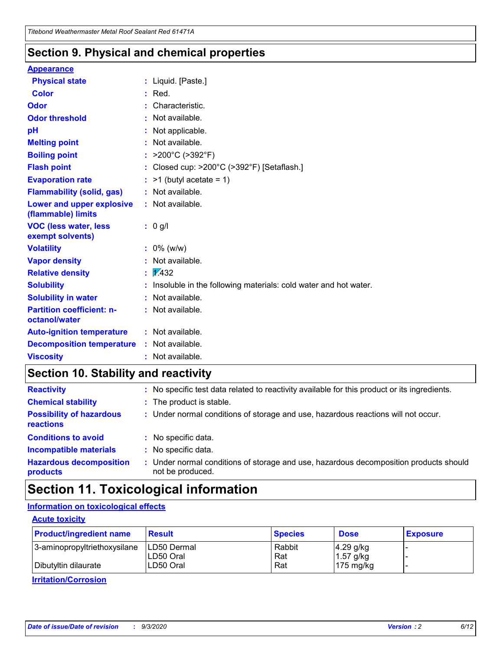### **Section 9. Physical and chemical properties**

#### **Appearance**

| <b>Physical state</b>                             |    | : Liquid. [Paste.]                                              |
|---------------------------------------------------|----|-----------------------------------------------------------------|
| <b>Color</b>                                      |    | Red.                                                            |
| Odor                                              |    | Characteristic.                                                 |
| <b>Odor threshold</b>                             | ÷. | Not available.                                                  |
| pH                                                |    | Not applicable.                                                 |
| <b>Melting point</b>                              |    | : Not available.                                                |
| <b>Boiling point</b>                              |    | : $>200^{\circ}$ C ( $>392^{\circ}$ F)                          |
| <b>Flash point</b>                                |    | : Closed cup: >200°C (>392°F) [Setaflash.]                      |
| <b>Evaporation rate</b>                           |    | $:$ >1 (butyl acetate = 1)                                      |
| <b>Flammability (solid, gas)</b>                  |    | : Not available.                                                |
| Lower and upper explosive<br>(flammable) limits   |    | : Not available.                                                |
| <b>VOC (less water, less)</b><br>exempt solvents) |    | : 0 g/l                                                         |
| <b>Volatility</b>                                 |    | $: 0\%$ (w/w)                                                   |
| <b>Vapor density</b>                              |    | Not available.                                                  |
| <b>Relative density</b>                           |    | $\frac{1}{2}$ 2.432                                             |
| <b>Solubility</b>                                 |    | Insoluble in the following materials: cold water and hot water. |
| <b>Solubility in water</b>                        |    | Not available.                                                  |
| <b>Partition coefficient: n-</b><br>octanol/water |    | $:$ Not available.                                              |
| <b>Auto-ignition temperature</b>                  |    | : Not available.                                                |
| <b>Decomposition temperature</b>                  |    | : Not available.                                                |
| <b>Viscosity</b>                                  |    | : Not available.                                                |

### **Section 10. Stability and reactivity**

| <b>Reactivity</b>                            |    | : No specific test data related to reactivity available for this product or its ingredients.            |
|----------------------------------------------|----|---------------------------------------------------------------------------------------------------------|
| <b>Chemical stability</b>                    |    | : The product is stable.                                                                                |
| <b>Possibility of hazardous</b><br>reactions |    | : Under normal conditions of storage and use, hazardous reactions will not occur.                       |
| <b>Conditions to avoid</b>                   |    | : No specific data.                                                                                     |
| <b>Incompatible materials</b>                | ٠. | No specific data.                                                                                       |
| <b>Hazardous decomposition</b><br>products   | ÷. | Under normal conditions of storage and use, hazardous decomposition products should<br>not be produced. |

### **Section 11. Toxicological information**

#### **Information on toxicological effects**

#### **Acute toxicity**

| <b>Product/ingredient name</b> | <b>Result</b>           | <b>Species</b> | <b>Dose</b>                | <b>Exposure</b> |
|--------------------------------|-------------------------|----------------|----------------------------|-----------------|
| 3-aminopropyltriethoxysilane   | <b>ILD50 Dermal</b>     | Rabbit         | 4.29 g/kg                  |                 |
| Dibutyltin dilaurate           | ILD50 Oral<br>LD50 Oral | Rat<br>Rat     | $1.57$ g/kg<br>175 $mg/kg$ |                 |
|                                |                         |                |                            |                 |

**Irritation/Corrosion**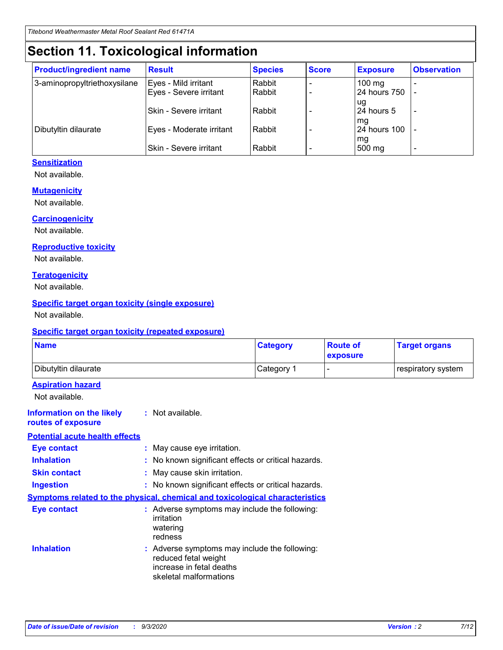## **Section 11. Toxicological information**

| <b>Product/ingredient name</b> | <b>Result</b>            | <b>Species</b> | <b>Score</b> | <b>Exposure</b>           | <b>Observation</b> |
|--------------------------------|--------------------------|----------------|--------------|---------------------------|--------------------|
| 3-aminopropyltriethoxysilane   | Eyes - Mild irritant     | Rabbit         |              | $100$ mg                  |                    |
|                                | Eyes - Severe irritant   | Rabbit         |              | 24 hours 750              |                    |
|                                |                          |                |              | ug                        |                    |
|                                | Skin - Severe irritant   | Rabbit         |              | 24 hours 5                | -                  |
| Dibutyltin dilaurate           | Eyes - Moderate irritant | Rabbit         |              | mg<br><b>24 hours 100</b> |                    |
|                                |                          |                |              | mg                        |                    |
|                                | Skin - Severe irritant   | Rabbit         |              | 500 mg                    | -                  |

#### **Sensitization**

Not available.

#### **Mutagenicity**

Not available.

#### **Carcinogenicity**

Not available.

#### **Reproductive toxicity**

Not available.

#### **Teratogenicity**

Not available.

#### **Specific target organ toxicity (single exposure)**

Not available.

#### **Specific target organ toxicity (repeated exposure)**

| <b>Name</b>                                                                  |                                                                                                                             | <b>Category</b>                                     | <b>Route of</b><br>exposure | <b>Target organs</b> |  |  |
|------------------------------------------------------------------------------|-----------------------------------------------------------------------------------------------------------------------------|-----------------------------------------------------|-----------------------------|----------------------|--|--|
| Dibutyltin dilaurate                                                         |                                                                                                                             | Category 1                                          |                             | respiratory system   |  |  |
| <b>Aspiration hazard</b><br>Not available.                                   |                                                                                                                             |                                                     |                             |                      |  |  |
| <b>Information on the likely</b><br>routes of exposure                       | : Not available.                                                                                                            |                                                     |                             |                      |  |  |
| <b>Potential acute health effects</b>                                        |                                                                                                                             |                                                     |                             |                      |  |  |
| <b>Eye contact</b>                                                           | : May cause eye irritation.                                                                                                 |                                                     |                             |                      |  |  |
| <b>Inhalation</b>                                                            |                                                                                                                             | : No known significant effects or critical hazards. |                             |                      |  |  |
| <b>Skin contact</b>                                                          |                                                                                                                             | : May cause skin irritation.                        |                             |                      |  |  |
| <b>Ingestion</b>                                                             |                                                                                                                             | : No known significant effects or critical hazards. |                             |                      |  |  |
| Symptoms related to the physical, chemical and toxicological characteristics |                                                                                                                             |                                                     |                             |                      |  |  |
| <b>Eye contact</b>                                                           | : Adverse symptoms may include the following:<br>irritation<br>watering<br>redness                                          |                                                     |                             |                      |  |  |
| <b>Inhalation</b>                                                            | : Adverse symptoms may include the following:<br>reduced fetal weight<br>increase in fetal deaths<br>skeletal malformations |                                                     |                             |                      |  |  |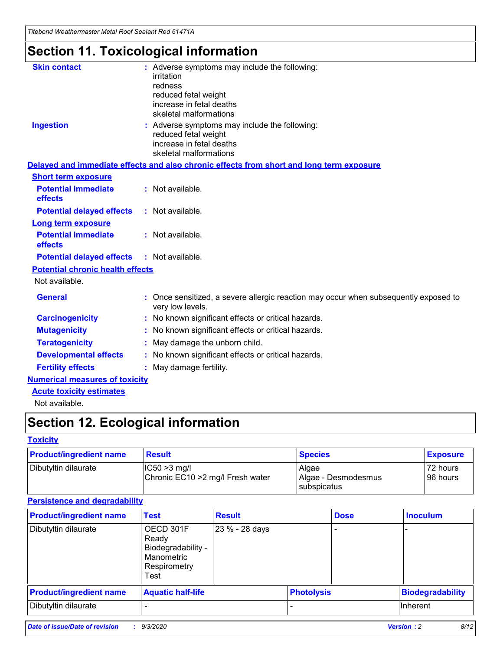*Titebond Weathermaster Metal Roof Sealant Red 61471A*

# **Section 11. Toxicological information**

| <b>Skin contact</b>                     | : Adverse symptoms may include the following:                                                            |
|-----------------------------------------|----------------------------------------------------------------------------------------------------------|
|                                         | irritation                                                                                               |
|                                         | redness<br>reduced fetal weight                                                                          |
|                                         | increase in fetal deaths                                                                                 |
|                                         | skeletal malformations                                                                                   |
| <b>Ingestion</b>                        | : Adverse symptoms may include the following:                                                            |
|                                         | reduced fetal weight<br>increase in fetal deaths                                                         |
|                                         | skeletal malformations                                                                                   |
|                                         | Delayed and immediate effects and also chronic effects from short and long term exposure                 |
| <b>Short term exposure</b>              |                                                                                                          |
| <b>Potential immediate</b><br>effects   | : Not available.                                                                                         |
| <b>Potential delayed effects</b>        | : Not available.                                                                                         |
| <b>Long term exposure</b>               |                                                                                                          |
| <b>Potential immediate</b><br>effects   | : Not available.                                                                                         |
| <b>Potential delayed effects</b>        | : Not available.                                                                                         |
| <b>Potential chronic health effects</b> |                                                                                                          |
| Not available.                          |                                                                                                          |
| <b>General</b>                          | : Once sensitized, a severe allergic reaction may occur when subsequently exposed to<br>very low levels. |
| <b>Carcinogenicity</b>                  | : No known significant effects or critical hazards.                                                      |
| <b>Mutagenicity</b>                     | : No known significant effects or critical hazards.                                                      |
| <b>Teratogenicity</b>                   | May damage the unborn child.                                                                             |
| <b>Developmental effects</b>            | : No known significant effects or critical hazards.                                                      |
| <b>Fertility effects</b>                | : May damage fertility.                                                                                  |
| <b>Numerical measures of toxicity</b>   |                                                                                                          |
| <b>Acute toxicity estimates</b>         |                                                                                                          |
| والمادانون والملا                       |                                                                                                          |

Not available.

# **Section 12. Ecological information**

#### **Toxicity**

| <b>Product/ingredient name</b> | <b>Result</b>                                       | <b>Species</b>               | <b>Exposure</b>       |
|--------------------------------|-----------------------------------------------------|------------------------------|-----------------------|
| Dibutyltin dilaurate           | $ CC50>3$ mg/l<br>Chronic EC10 > 2 mg/l Fresh water | Algae<br>Algae - Desmodesmus | 72 hours<br>196 hours |
|                                |                                                     | <b>I</b> subspicatus         |                       |

#### **Persistence and degradability**

| <b>Product/ingredient name</b> | <b>Test</b>                                                                    | <b>Result</b>  |                   | <b>Dose</b> | <b>Inoculum</b>         |
|--------------------------------|--------------------------------------------------------------------------------|----------------|-------------------|-------------|-------------------------|
| Dibutyltin dilaurate           | OECD 301F<br>Ready<br>Biodegradability -<br>Manometric<br>Respirometry<br>Test | 23 % - 28 days |                   |             |                         |
| <b>Product/ingredient name</b> | <b>Aquatic half-life</b>                                                       |                | <b>Photolysis</b> |             | <b>Biodegradability</b> |
| Dibutyltin dilaurate           |                                                                                |                |                   |             | <b>Inherent</b>         |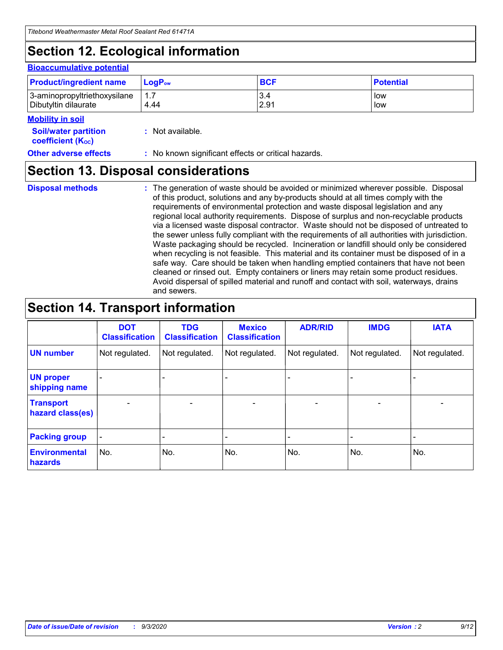# **Section 12. Ecological information**

#### **Bioaccumulative potential**

| <b>Product/ingredient name</b> | $LogPow$ | <b>BCF</b> | <b>Potential</b> |
|--------------------------------|----------|------------|------------------|
| 3-aminopropyltriethoxysilane   | 1.7      | 3.4        | low              |
| Dibutyltin dilaurate           | 4.44     | 2.91       | low              |

#### **Mobility in soil**

| <b>MODILLY III SUIL</b>                                       |                                                     |
|---------------------------------------------------------------|-----------------------------------------------------|
| <b>Soil/water partition</b><br>coefficient (K <sub>oc</sub> ) | : Not available.                                    |
| <b>Other adverse effects</b>                                  | : No known significant effects or critical hazards. |

### **Section 13. Disposal considerations**

**Disposal methods :**

The generation of waste should be avoided or minimized wherever possible. Disposal of this product, solutions and any by-products should at all times comply with the requirements of environmental protection and waste disposal legislation and any regional local authority requirements. Dispose of surplus and non-recyclable products via a licensed waste disposal contractor. Waste should not be disposed of untreated to the sewer unless fully compliant with the requirements of all authorities with jurisdiction. Waste packaging should be recycled. Incineration or landfill should only be considered when recycling is not feasible. This material and its container must be disposed of in a safe way. Care should be taken when handling emptied containers that have not been cleaned or rinsed out. Empty containers or liners may retain some product residues. Avoid dispersal of spilled material and runoff and contact with soil, waterways, drains and sewers.

### **Section 14. Transport information**

|                                      | <b>DOT</b><br><b>Classification</b> | <b>TDG</b><br><b>Classification</b> | <b>Mexico</b><br><b>Classification</b> | <b>ADR/RID</b> | <b>IMDG</b>              | <b>IATA</b>    |
|--------------------------------------|-------------------------------------|-------------------------------------|----------------------------------------|----------------|--------------------------|----------------|
| <b>UN number</b>                     | Not regulated.                      | Not regulated.                      | Not regulated.                         | Not regulated. | Not regulated.           | Not regulated. |
| <b>UN proper</b><br>shipping name    |                                     |                                     |                                        |                |                          |                |
| <b>Transport</b><br>hazard class(es) |                                     | $\overline{\phantom{0}}$            | $\overline{\phantom{0}}$               |                | $\overline{\phantom{0}}$ |                |
| <b>Packing group</b>                 |                                     |                                     |                                        |                |                          |                |
| <b>Environmental</b><br>hazards      | No.                                 | No.                                 | No.                                    | No.            | No.                      | No.            |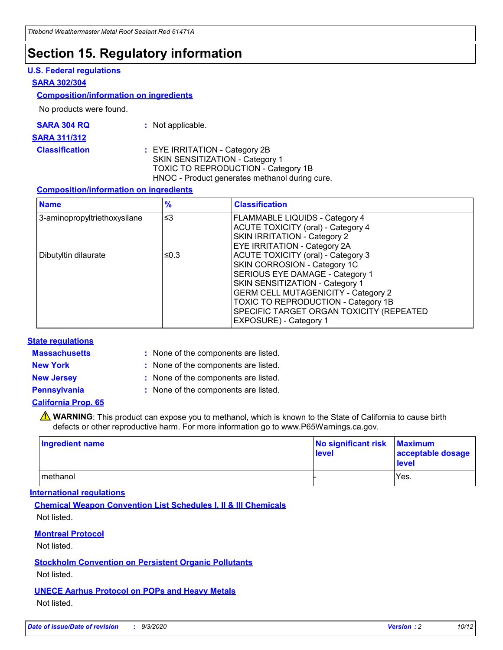### **Section 15. Regulatory information**

#### **U.S. Federal regulations**

#### **SARA 302/304**

#### **Composition/information on ingredients**

No products were found.

| SARA 304 RQ | Not applicable. |
|-------------|-----------------|
|-------------|-----------------|

#### **SARA 311/312**

**Classification :** EYE IRRITATION - Category 2B SKIN SENSITIZATION - Category 1 TOXIC TO REPRODUCTION - Category 1B HNOC - Product generates methanol during cure.

#### **Composition/information on ingredients**

| <b>Name</b>                  | $\frac{9}{6}$ | <b>Classification</b>                                                                                                                                                                                                                                                                                      |
|------------------------------|---------------|------------------------------------------------------------------------------------------------------------------------------------------------------------------------------------------------------------------------------------------------------------------------------------------------------------|
| 3-aminopropyltriethoxysilane | $\leq$ 3      | <b>FLAMMABLE LIQUIDS - Category 4</b><br><b>ACUTE TOXICITY (oral) - Category 4</b><br><b>SKIN IRRITATION - Category 2</b><br>EYE IRRITATION - Category 2A                                                                                                                                                  |
| Dibutyltin dilaurate         | ≤0.3          | <b>ACUTE TOXICITY (oral) - Category 3</b><br>SKIN CORROSION - Category 1C<br>SERIOUS EYE DAMAGE - Category 1<br>SKIN SENSITIZATION - Category 1<br><b>GERM CELL MUTAGENICITY - Category 2</b><br>TOXIC TO REPRODUCTION - Category 1B<br>SPECIFIC TARGET ORGAN TOXICITY (REPEATED<br>EXPOSURE) - Category 1 |

#### **State regulations**

**Massachusetts :**

: None of the components are listed.

**New York :** None of the components are listed. **New Jersey :** None of the components are listed.

**Pennsylvania :** None of the components are listed.

#### **California Prop. 65**

WARNING: This product can expose you to methanol, which is known to the State of California to cause birth defects or other reproductive harm. For more information go to www.P65Warnings.ca.gov.

| Ingredient name | No significant risk Maximum<br>level | acceptable dosage<br><b>level</b> |
|-----------------|--------------------------------------|-----------------------------------|
| I methanol      |                                      | Yes.                              |

#### **International regulations**

**Chemical Weapon Convention List Schedules I, II & III Chemicals** Not listed.

#### **Montreal Protocol**

Not listed.

**Stockholm Convention on Persistent Organic Pollutants**

Not listed.

#### **UNECE Aarhus Protocol on POPs and Heavy Metals** Not listed.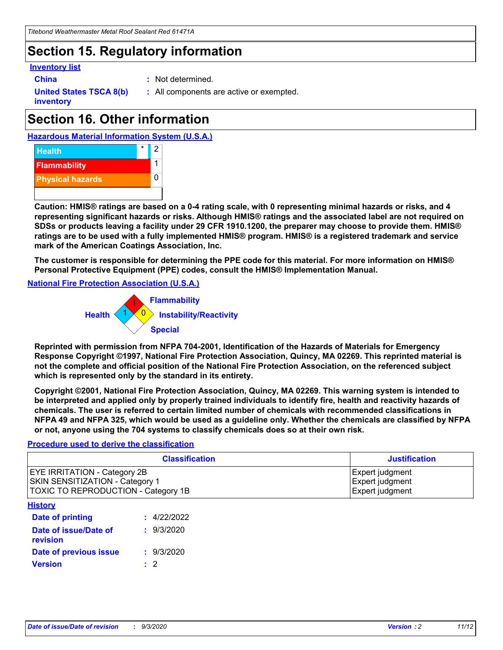### **Section 15. Regulatory information**

#### **Inventory list**

- 
- **China :** Not determined.

**United States TSCA 8(b) inventory**

**:** All components are active or exempted.

# **Section 16. Other information**





**Caution: HMIS® ratings are based on a 0-4 rating scale, with 0 representing minimal hazards or risks, and 4 representing significant hazards or risks. Although HMIS® ratings and the associated label are not required on SDSs or products leaving a facility under 29 CFR 1910.1200, the preparer may choose to provide them. HMIS® ratings are to be used with a fully implemented HMIS® program. HMIS® is a registered trademark and service mark of the American Coatings Association, Inc.**

**The customer is responsible for determining the PPE code for this material. For more information on HMIS® Personal Protective Equipment (PPE) codes, consult the HMIS® Implementation Manual.**

**National Fire Protection Association (U.S.A.)**



**Reprinted with permission from NFPA 704-2001, Identification of the Hazards of Materials for Emergency Response Copyright ©1997, National Fire Protection Association, Quincy, MA 02269. This reprinted material is not the complete and official position of the National Fire Protection Association, on the referenced subject which is represented only by the standard in its entirety.**

**Copyright ©2001, National Fire Protection Association, Quincy, MA 02269. This warning system is intended to be interpreted and applied only by properly trained individuals to identify fire, health and reactivity hazards of chemicals. The user is referred to certain limited number of chemicals with recommended classifications in NFPA 49 and NFPA 325, which would be used as a guideline only. Whether the chemicals are classified by NFPA or not, anyone using the 704 systems to classify chemicals does so at their own risk.**

#### **Procedure used to derive the classification**

| <b>Classification</b>                                                                                                | <b>Justification</b>                                  |
|----------------------------------------------------------------------------------------------------------------------|-------------------------------------------------------|
| <b>EYE IRRITATION - Category 2B</b><br><b>SKIN SENSITIZATION - Category 1</b><br>TOXIC TO REPRODUCTION - Category 1B | Expert judgment<br>Expert judgment<br>Expert judgment |
| <b>History</b>                                                                                                       |                                                       |

| .                                 |             |
|-----------------------------------|-------------|
| <b>Date of printing</b>           | : 4/22/2022 |
| Date of issue/Date of<br>revision | : 9/3/2020  |
| Date of previous issue            | : 9/3/2020  |
| <b>Version</b>                    | $\cdot$ 2   |
|                                   |             |